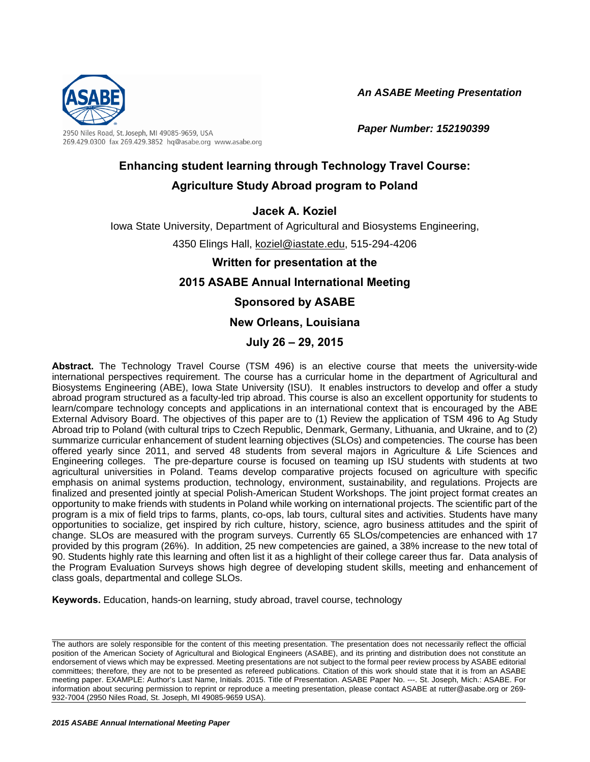*An ASABE Meeting Presentation* 



2950 Niles Road, St. Joseph, MI 49085-9659, USA 269.429.0300 fax 269.429.3852 hq@asabe.org www.asabe.org *Paper Number: 152190399* 

# **Enhancing student learning through Technology Travel Course:**

## **Agriculture Study Abroad program to Poland**

## **Jacek A. Koziel**

Iowa State University, Department of Agricultural and Biosystems Engineering,

4350 Elings Hall, koziel@iastate.edu, 515-294-4206

## **Written for presentation at the**

## **2015 ASABE Annual International Meeting**

## **Sponsored by ASABE**

## **New Orleans, Louisiana**

## **July 26 – 29, 2015**

**Abstract.** The Technology Travel Course (TSM 496) is an elective course that meets the university-wide international perspectives requirement. The course has a curricular home in the department of Agricultural and Biosystems Engineering (ABE), Iowa State University (ISU). It enables instructors to develop and offer a study abroad program structured as a faculty-led trip abroad. This course is also an excellent opportunity for students to learn/compare technology concepts and applications in an international context that is encouraged by the ABE External Advisory Board. The objectives of this paper are to (1) Review the application of TSM 496 to Ag Study Abroad trip to Poland (with cultural trips to Czech Republic, Denmark, Germany, Lithuania, and Ukraine, and to (2) summarize curricular enhancement of student learning objectives (SLOs) and competencies. The course has been offered yearly since 2011, and served 48 students from several majors in Agriculture & Life Sciences and Engineering colleges. The pre-departure course is focused on teaming up ISU students with students at two agricultural universities in Poland. Teams develop comparative projects focused on agriculture with specific emphasis on animal systems production, technology, environment, sustainability, and regulations. Projects are finalized and presented jointly at special Polish-American Student Workshops. The joint project format creates an opportunity to make friends with students in Poland while working on international projects. The scientific part of the program is a mix of field trips to farms, plants, co-ops, lab tours, cultural sites and activities. Students have many opportunities to socialize, get inspired by rich culture, history, science, agro business attitudes and the spirit of change. SLOs are measured with the program surveys. Currently 65 SLOs/competencies are enhanced with 17 provided by this program (26%). In addition, 25 new competencies are gained, a 38% increase to the new total of 90. Students highly rate this learning and often list it as a highlight of their college career thus far. Data analysis of the Program Evaluation Surveys shows high degree of developing student skills, meeting and enhancement of class goals, departmental and college SLOs.

**Keywords.** Education, hands-on learning, study abroad, travel course, technology

The authors are solely responsible for the content of this meeting presentation. The presentation does not necessarily reflect the official position of the American Society of Agricultural and Biological Engineers (ASABE), and its printing and distribution does not constitute an endorsement of views which may be expressed. Meeting presentations are not subject to the formal peer review process by ASABE editorial committees; therefore, they are not to be presented as refereed publications. Citation of this work should state that it is from an ASABE meeting paper. EXAMPLE: Author's Last Name, Initials. 2015. Title of Presentation. ASABE Paper No. ---. St. Joseph, Mich.: ASABE. For information about securing permission to reprint or reproduce a meeting presentation, please contact ASABE at rutter@asabe.org or 269- 932-7004 (2950 Niles Road, St. Joseph, MI 49085-9659 USA).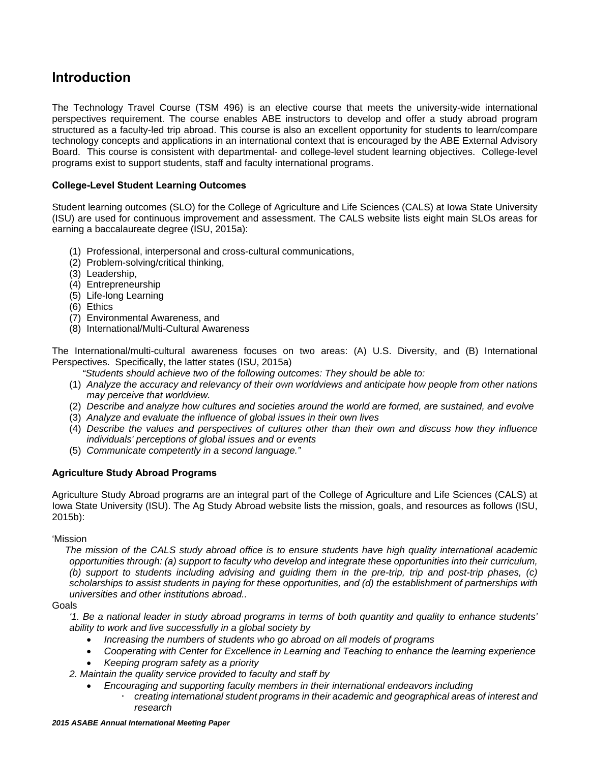## **Introduction**

The Technology Travel Course (TSM 496) is an elective course that meets the university-wide international perspectives requirement. The course enables ABE instructors to develop and offer a study abroad program structured as a faculty-led trip abroad. This course is also an excellent opportunity for students to learn/compare technology concepts and applications in an international context that is encouraged by the ABE External Advisory Board. This course is consistent with departmental- and college-level student learning objectives. College-level programs exist to support students, staff and faculty international programs.

### **College-Level Student Learning Outcomes**

Student learning outcomes (SLO) for the College of Agriculture and Life Sciences (CALS) at Iowa State University (ISU) are used for continuous improvement and assessment. The CALS website lists eight main SLOs areas for earning a baccalaureate degree (ISU, 2015a):

- (1) Professional, interpersonal and cross-cultural communications,
- (2) Problem-solving/critical thinking,
- (3) Leadership,
- (4) Entrepreneurship
- (5) Life-long Learning
- (6) Ethics
- (7) Environmental Awareness, and
- (8) International/Multi-Cultural Awareness

The International/multi-cultural awareness focuses on two areas: (A) U.S. Diversity, and (B) International Perspectives. Specifically, the latter states (ISU, 2015a)

- *"Students should achieve two of the following outcomes: They should be able to:*
- (1) *Analyze the accuracy and relevancy of their own worldviews and anticipate how people from other nations may perceive that worldview.*
- (2) *Describe and analyze how cultures and societies around the world are formed, are sustained, and evolve*
- (3) *Analyze and evaluate the influence of global issues in their own lives*
- (4) *Describe the values and perspectives of cultures other than their own and discuss how they influence individuals' perceptions of global issues and or events*
- (5) *Communicate competently in a second language."*

### **Agriculture Study Abroad Programs**

Agriculture Study Abroad programs are an integral part of the College of Agriculture and Life Sciences (CALS) at Iowa State University (ISU). The Ag Study Abroad website lists the mission, goals, and resources as follows (ISU, 2015b):

'Mission

*The mission of the CALS study abroad office is to ensure students have high quality international academic opportunities through: (a) support to faculty who develop and integrate these opportunities into their curriculum, (b) support to students including advising and guiding them in the pre-trip, trip and post-trip phases, (c) scholarships to assist students in paying for these opportunities, and (d) the establishment of partnerships with universities and other institutions abroad..* 

#### Goals

*'1. Be a national leader in study abroad programs in terms of both quantity and quality to enhance students' ability to work and live successfully in a global society by* 

- *Increasing the numbers of students who go abroad on all models of programs*
- *Cooperating with Center for Excellence in Learning and Teaching to enhance the learning experience*
- *Keeping program safety as a priority*
- *2. Maintain the quality service provided to faculty and staff by* 
	- *Encouraging and supporting faculty members in their international endeavors including creating international student programs in their academic and geographical areas of interest and research*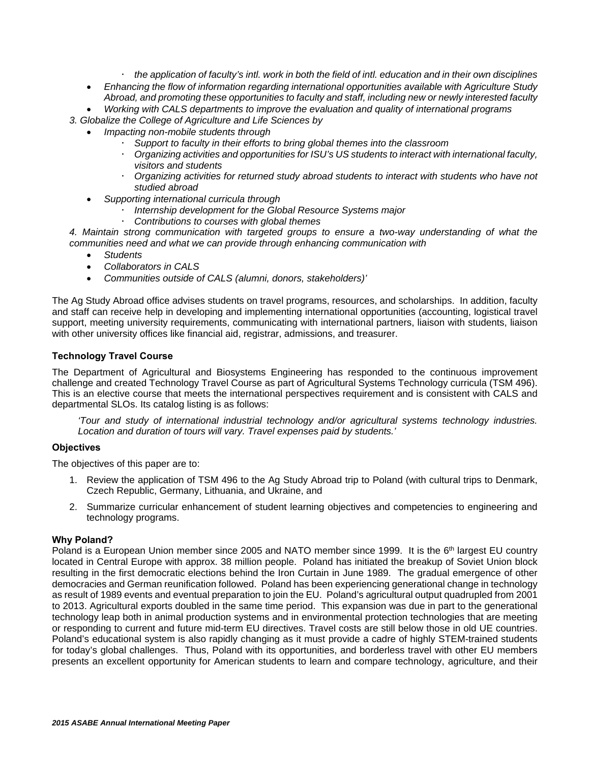- *the application of faculty's intl. work in both the field of intl. education and in their own disciplines*
- *Enhancing the flow of information regarding international opportunities available with Agriculture Study Abroad, and promoting these opportunities to faculty and staff, including new or newly interested faculty*
- *Working with CALS departments to improve the evaluation and quality of international programs*
- *3. Globalize the College of Agriculture and Life Sciences by* 
	- *Impacting non-mobile students through* 
		- *Support to faculty in their efforts to bring global themes into the classroom*
		- *Organizing activities and opportunities for ISU's US students to interact with international faculty, visitors and students*
		- *Organizing activities for returned study abroad students to interact with students who have not studied abroad*
	- *Supporting international curricula through* 
		- *Internship development for the Global Resource Systems major*
		- *Contributions to courses with global themes*

*4. Maintain strong communication with targeted groups to ensure a two-way understanding of what the communities need and what we can provide through enhancing communication with* 

- *Students*
- *Collaborators in CALS*
- *Communities outside of CALS (alumni, donors, stakeholders)'*

The Ag Study Abroad office advises students on travel programs, resources, and scholarships. In addition, faculty and staff can receive help in developing and implementing international opportunities (accounting, logistical travel support, meeting university requirements, communicating with international partners, liaison with students, liaison with other university offices like financial aid, registrar, admissions, and treasurer.

#### **Technology Travel Course**

The Department of Agricultural and Biosystems Engineering has responded to the continuous improvement challenge and created Technology Travel Course as part of Agricultural Systems Technology curricula (TSM 496). This is an elective course that meets the international perspectives requirement and is consistent with CALS and departmental SLOs. Its catalog listing is as follows:

*'Tour and study of international industrial technology and/or agricultural systems technology industries. Location and duration of tours will vary. Travel expenses paid by students.'* 

#### **Objectives**

The objectives of this paper are to:

- 1. Review the application of TSM 496 to the Ag Study Abroad trip to Poland (with cultural trips to Denmark, Czech Republic, Germany, Lithuania, and Ukraine, and
- 2. Summarize curricular enhancement of student learning objectives and competencies to engineering and technology programs.

#### **Why Poland?**

Poland is a European Union member since 2005 and NATO member since 1999. It is the 6<sup>th</sup> largest EU country located in Central Europe with approx. 38 million people. Poland has initiated the breakup of Soviet Union block resulting in the first democratic elections behind the Iron Curtain in June 1989. The gradual emergence of other democracies and German reunification followed. Poland has been experiencing generational change in technology as result of 1989 events and eventual preparation to join the EU. Poland's agricultural output quadrupled from 2001 to 2013. Agricultural exports doubled in the same time period. This expansion was due in part to the generational technology leap both in animal production systems and in environmental protection technologies that are meeting or responding to current and future mid-term EU directives. Travel costs are still below those in old UE countries. Poland's educational system is also rapidly changing as it must provide a cadre of highly STEM-trained students for today's global challenges. Thus, Poland with its opportunities, and borderless travel with other EU members presents an excellent opportunity for American students to learn and compare technology, agriculture, and their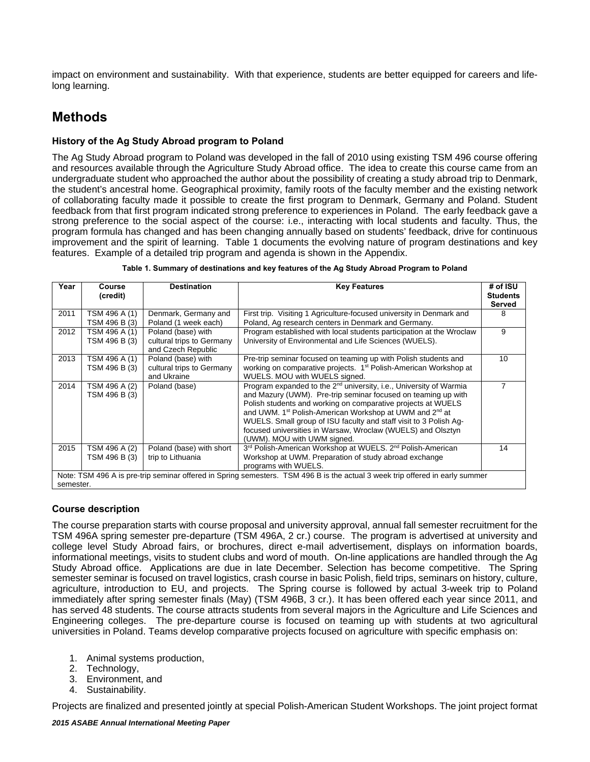impact on environment and sustainability. With that experience, students are better equipped for careers and lifelong learning.

# **Methods**

### **History of the Ag Study Abroad program to Poland**

The Ag Study Abroad program to Poland was developed in the fall of 2010 using existing TSM 496 course offering and resources available through the Agriculture Study Abroad office. The idea to create this course came from an undergraduate student who approached the author about the possibility of creating a study abroad trip to Denmark, the student's ancestral home. Geographical proximity, family roots of the faculty member and the existing network of collaborating faculty made it possible to create the first program to Denmark, Germany and Poland. Student feedback from that first program indicated strong preference to experiences in Poland. The early feedback gave a strong preference to the social aspect of the course: i.e., interacting with local students and faculty. Thus, the program formula has changed and has been changing annually based on students' feedback, drive for continuous improvement and the spirit of learning. Table 1 documents the evolving nature of program destinations and key features. Example of a detailed trip program and agenda is shown in the Appendix.

| Year      | Course        | <b>Destination</b>        | <b>Key Features</b>                                                                                                          | # of ISU        |
|-----------|---------------|---------------------------|------------------------------------------------------------------------------------------------------------------------------|-----------------|
|           | (credit)      |                           |                                                                                                                              | <b>Students</b> |
|           |               |                           |                                                                                                                              | Served          |
| 2011      | TSM 496 A (1) | Denmark, Germany and      | First trip. Visiting 1 Agriculture-focused university in Denmark and                                                         | 8               |
|           | TSM 496 B (3) | Poland (1 week each)      | Poland, Ag research centers in Denmark and Germany.                                                                          |                 |
| 2012      | TSM 496 A (1) | Poland (base) with        | Program established with local students participation at the Wroclaw                                                         | 9               |
|           | TSM 496 B (3) | cultural trips to Germany | University of Environmental and Life Sciences (WUELS).                                                                       |                 |
|           |               | and Czech Republic        |                                                                                                                              |                 |
| 2013      | TSM 496 A (1) | Poland (base) with        | Pre-trip seminar focused on teaming up with Polish students and                                                              | 10              |
|           | TSM 496 B (3) | cultural trips to Germany | working on comparative projects. 1 <sup>st</sup> Polish-American Workshop at                                                 |                 |
|           |               | and Ukraine               | WUELS. MOU with WUELS signed.                                                                                                |                 |
| 2014      | TSM 496 A (2) | Poland (base)             | Program expanded to the 2 <sup>nd</sup> university, i.e., University of Warmia                                               |                 |
|           | TSM 496 B (3) |                           | and Mazury (UWM). Pre-trip seminar focused on teaming up with                                                                |                 |
|           |               |                           | Polish students and working on comparative projects at WUELS                                                                 |                 |
|           |               |                           | and UWM. 1 <sup>st</sup> Polish-American Workshop at UWM and 2 <sup>nd</sup> at                                              |                 |
|           |               |                           | WUELS. Small group of ISU faculty and staff visit to 3 Polish Ag-                                                            |                 |
|           |               |                           | focused universities in Warsaw, Wroclaw (WUELS) and Olsztyn                                                                  |                 |
|           |               |                           | (UWM). MOU with UWM signed.                                                                                                  |                 |
| 2015      | TSM 496 A (2) | Poland (base) with short  | 3rd Polish-American Workshop at WUELS. 2 <sup>nd</sup> Polish-American                                                       | 14              |
|           | TSM 496 B (3) | trip to Lithuania         | Workshop at UWM. Preparation of study abroad exchange                                                                        |                 |
|           |               |                           | programs with WUELS.                                                                                                         |                 |
|           |               |                           | Note: TSM 496 A is pre-trip seminar offered in Spring semesters. TSM 496 B is the actual 3 week trip offered in early summer |                 |
| semester. |               |                           |                                                                                                                              |                 |

|  |  | Table 1. Summary of destinations and key features of the Ag Study Abroad Program to Poland |
|--|--|--------------------------------------------------------------------------------------------|
|  |  |                                                                                            |

### **Course description**

The course preparation starts with course proposal and university approval, annual fall semester recruitment for the TSM 496A spring semester pre-departure (TSM 496A, 2 cr.) course. The program is advertised at university and college level Study Abroad fairs, or brochures, direct e-mail advertisement, displays on information boards, informational meetings, visits to student clubs and word of mouth. On-line applications are handled through the Ag Study Abroad office. Applications are due in late December. Selection has become competitive. The Spring semester seminar is focused on travel logistics, crash course in basic Polish, field trips, seminars on history, culture, agriculture, introduction to EU, and projects. The Spring course is followed by actual 3-week trip to Poland immediately after spring semester finals (May) (TSM 496B, 3 cr.). It has been offered each year since 2011, and has served 48 students. The course attracts students from several majors in the Agriculture and Life Sciences and Engineering colleges. The pre-departure course is focused on teaming up with students at two agricultural universities in Poland. Teams develop comparative projects focused on agriculture with specific emphasis on:

- 1. Animal systems production,
- 2. Technology,
- 3. Environment, and
- 4. Sustainability.

Projects are finalized and presented jointly at special Polish-American Student Workshops. The joint project format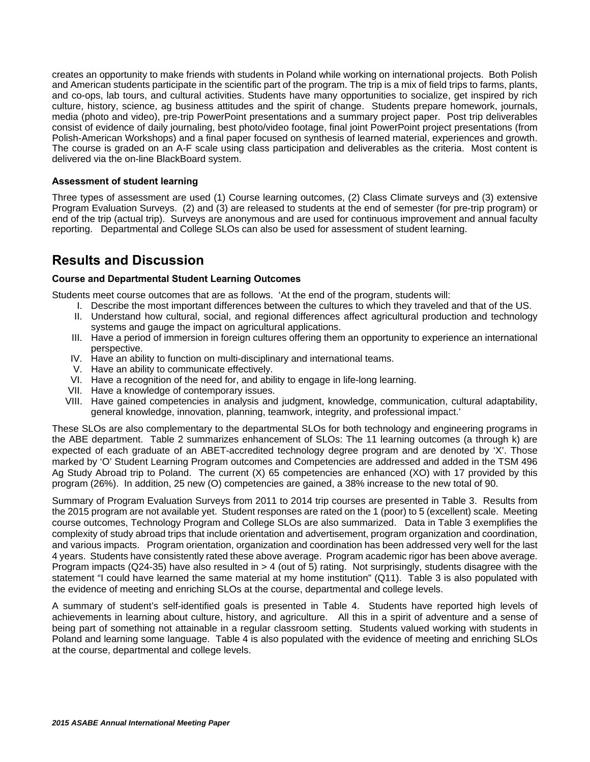creates an opportunity to make friends with students in Poland while working on international projects. Both Polish and American students participate in the scientific part of the program. The trip is a mix of field trips to farms, plants, and co-ops, lab tours, and cultural activities. Students have many opportunities to socialize, get inspired by rich culture, history, science, ag business attitudes and the spirit of change. Students prepare homework, journals, media (photo and video), pre-trip PowerPoint presentations and a summary project paper. Post trip deliverables consist of evidence of daily journaling, best photo/video footage, final joint PowerPoint project presentations (from Polish-American Workshops) and a final paper focused on synthesis of learned material, experiences and growth. The course is graded on an A-F scale using class participation and deliverables as the criteria. Most content is delivered via the on-line BlackBoard system.

#### **Assessment of student learning**

Three types of assessment are used (1) Course learning outcomes, (2) Class Climate surveys and (3) extensive Program Evaluation Surveys. (2) and (3) are released to students at the end of semester (for pre-trip program) or end of the trip (actual trip). Surveys are anonymous and are used for continuous improvement and annual faculty reporting. Departmental and College SLOs can also be used for assessment of student learning.

## **Results and Discussion**

#### **Course and Departmental Student Learning Outcomes**

Students meet course outcomes that are as follows. 'At the end of the program, students will:

- I. Describe the most important differences between the cultures to which they traveled and that of the US.
- II. Understand how cultural, social, and regional differences affect agricultural production and technology systems and gauge the impact on agricultural applications.
- III. Have a period of immersion in foreign cultures offering them an opportunity to experience an international perspective.
- IV. Have an ability to function on multi-disciplinary and international teams.
- V. Have an ability to communicate effectively.
- VI. Have a recognition of the need for, and ability to engage in life-long learning.
- VII. Have a knowledge of contemporary issues.
- VIII. Have gained competencies in analysis and judgment, knowledge, communication, cultural adaptability, general knowledge, innovation, planning, teamwork, integrity, and professional impact.'

These SLOs are also complementary to the departmental SLOs for both technology and engineering programs in the ABE department. Table 2 summarizes enhancement of SLOs: The 11 learning outcomes (a through k) are expected of each graduate of an ABET-accredited technology degree program and are denoted by 'X'. Those marked by 'O' Student Learning Program outcomes and Competencies are addressed and added in the TSM 496 Ag Study Abroad trip to Poland. The current (X) 65 competencies are enhanced (XO) with 17 provided by this program (26%). In addition, 25 new (O) competencies are gained, a 38% increase to the new total of 90.

Summary of Program Evaluation Surveys from 2011 to 2014 trip courses are presented in Table 3. Results from the 2015 program are not available yet. Student responses are rated on the 1 (poor) to 5 (excellent) scale. Meeting course outcomes, Technology Program and College SLOs are also summarized. Data in Table 3 exemplifies the complexity of study abroad trips that include orientation and advertisement, program organization and coordination, and various impacts. Program orientation, organization and coordination has been addressed very well for the last 4 years. Students have consistently rated these above average. Program academic rigor has been above average. Program impacts (Q24-35) have also resulted in > 4 (out of 5) rating. Not surprisingly, students disagree with the statement "I could have learned the same material at my home institution" (Q11). Table 3 is also populated with the evidence of meeting and enriching SLOs at the course, departmental and college levels.

A summary of student's self-identified goals is presented in Table 4. Students have reported high levels of achievements in learning about culture, history, and agriculture. All this in a spirit of adventure and a sense of being part of something not attainable in a regular classroom setting. Students valued working with students in Poland and learning some language. Table 4 is also populated with the evidence of meeting and enriching SLOs at the course, departmental and college levels.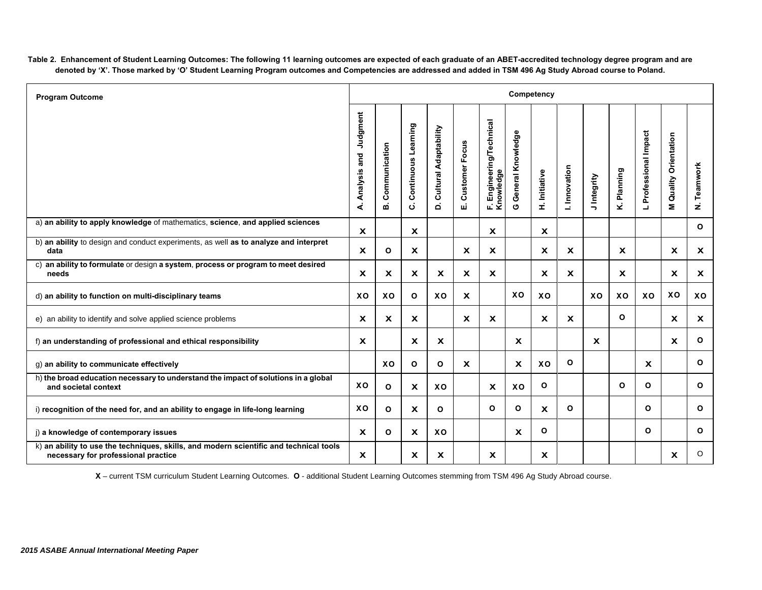**Table 2. Enhancement of Student Learning Outcomes: The following 11 learning outcomes are expected of each graduate of an ABET-accredited technology degree program and are denoted by 'X'. Those marked by 'O' Student Learning Program outcomes and Competencies are addressed and added in TSM 496 Ag Study Abroad course to Poland.** 

| <b>Program Outcome</b>                                                                                                        | Competency                    |                               |                           |                             |                           |                                       |                           |               |                           |              |                |                          |                           |                           |
|-------------------------------------------------------------------------------------------------------------------------------|-------------------------------|-------------------------------|---------------------------|-----------------------------|---------------------------|---------------------------------------|---------------------------|---------------|---------------------------|--------------|----------------|--------------------------|---------------------------|---------------------------|
|                                                                                                                               | Judgment<br>Analysis and<br>∢ | Communication<br>$\mathbf{m}$ | Continuous Learning<br>ن  | Cultural Adaptability<br>o. | Customer Focus<br>шi      | F. Engineering/Technical<br>Knowledge | General Knowledge<br>ඏ    | H. Initiative | I. Innovation             | Vintegrity   | Planning<br>¥, | Professional Impact<br>⊐ | Quality Orientation<br>Σ  | eamwork<br>۴<br>ż         |
| a) an ability to apply knowledge of mathematics, science, and applied sciences                                                | $\mathbf{x}$                  |                               | $\boldsymbol{\mathsf{x}}$ |                             |                           | X                                     |                           | X             |                           |              |                |                          |                           | O                         |
| b) an ability to design and conduct experiments, as well as to analyze and interpret<br>data                                  | <b>X</b>                      | $\mathbf{o}$                  | $\boldsymbol{\mathsf{x}}$ |                             | $\mathbf{x}$              | $\mathbf{x}$                          |                           | X             | $\boldsymbol{\mathsf{x}}$ |              | $\mathbf{x}$   |                          | $\boldsymbol{\mathsf{x}}$ | $\boldsymbol{\mathsf{x}}$ |
| c) an ability to formulate or design a system, process or program to meet desired<br>needs                                    | <b>X</b>                      | $\boldsymbol{\mathsf{x}}$     | $\boldsymbol{\mathsf{x}}$ | $\mathbf{x}$                | $\boldsymbol{\mathsf{x}}$ | $\boldsymbol{\mathsf{x}}$             |                           | X             | $\boldsymbol{\mathsf{x}}$ |              | $\mathbf{x}$   |                          | $\boldsymbol{\mathsf{x}}$ | $\pmb{\mathsf{X}}$        |
| d) an ability to function on multi-disciplinary teams                                                                         | XO                            | XO                            | $\mathbf{o}$              | XO                          | $\boldsymbol{\mathsf{x}}$ |                                       | XO                        | XO            |                           | XO           | XO             | XO                       | XO                        | XO                        |
| e) an ability to identify and solve applied science problems                                                                  | X                             | X                             | $\boldsymbol{\mathsf{x}}$ |                             | $\mathbf{x}$              | $\boldsymbol{\mathsf{x}}$             |                           | X             | $\boldsymbol{\mathsf{x}}$ |              | O              |                          | $\boldsymbol{\mathsf{x}}$ | $\boldsymbol{\mathsf{x}}$ |
| f) an understanding of professional and ethical responsibility                                                                | $\mathbf{x}$                  |                               | X                         | $\mathbf{x}$                |                           |                                       | $\boldsymbol{\mathsf{x}}$ |               |                           | $\mathbf{x}$ |                |                          | $\boldsymbol{\mathsf{x}}$ | O                         |
| g) an ability to communicate effectively                                                                                      |                               | XO                            | $\mathbf{o}$              | O                           | $\boldsymbol{\mathsf{x}}$ |                                       | $\boldsymbol{\mathsf{x}}$ | <b>XO</b>     | O                         |              |                | $\mathbf{x}$             |                           | $\mathbf{o}$              |
| h) the broad education necessary to understand the impact of solutions in a global<br>and societal context                    | XO                            | $\mathbf{o}$                  | $\boldsymbol{\mathsf{x}}$ | XO                          |                           | $\boldsymbol{\mathsf{x}}$             | XO                        | O             |                           |              | O              | $\Omega$                 |                           | $\mathbf{o}$              |
| i) recognition of the need for, and an ability to engage in life-long learning                                                | XO                            | O                             | $\boldsymbol{\mathsf{x}}$ | $\mathbf{o}$                |                           | $\mathbf{o}$                          | $\mathbf{o}$              | X             | $\mathbf{o}$              |              |                | $\Omega$                 |                           | O                         |
| i) a knowledge of contemporary issues                                                                                         | $\mathbf{x}$                  | $\mathbf{o}$                  | $\boldsymbol{\mathsf{x}}$ | <b>XO</b>                   |                           |                                       | X                         | O             |                           |              |                | $\Omega$                 |                           | O                         |
| k) an ability to use the techniques, skills, and modern scientific and technical tools<br>necessary for professional practice | $\mathbf{x}$                  |                               | X                         | $\mathbf{x}$                |                           | $\mathbf{x}$                          |                           | X             |                           |              |                |                          | $\boldsymbol{\mathsf{x}}$ | O                         |

**X** – current TSM curriculum Student Learning Outcomes. **O** - additional Student Learning Outcomes stemming from TSM 496 Ag Study Abroad course.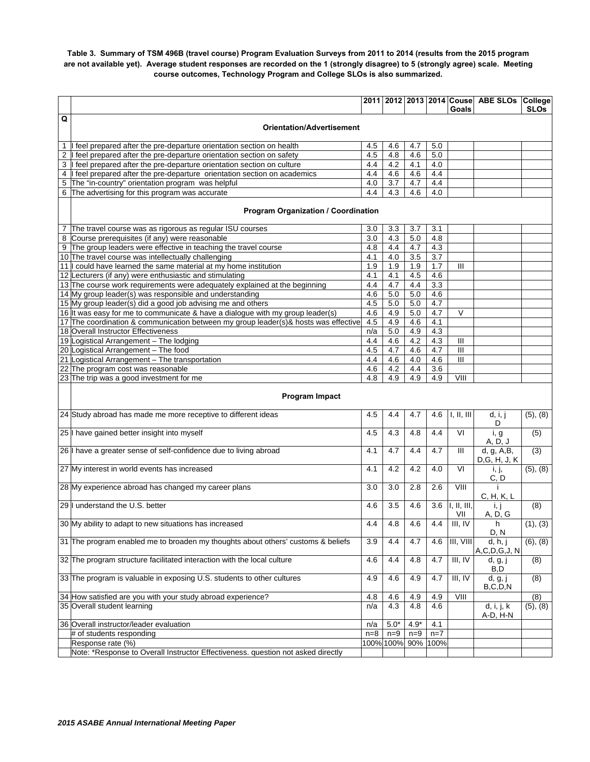**Table 3. Summary of TSM 496B (travel course) Program Evaluation Surveys from 2011 to 2014 (results from the 2015 program are not available yet). Average student responses are recorded on the 1 (strongly disagree) to 5 (strongly agree) scale. Meeting course outcomes, Technology Program and College SLOs is also summarized.** 

|              |                                                                                     |     |                      |                   |       | Goals                   | 2011 2012 2013 2014 Couse ABE SLOs College | <b>SLOs</b> |
|--------------|-------------------------------------------------------------------------------------|-----|----------------------|-------------------|-------|-------------------------|--------------------------------------------|-------------|
| Q            |                                                                                     |     |                      |                   |       |                         |                                            |             |
|              | <b>Orientation/Advertisement</b>                                                    |     |                      |                   |       |                         |                                            |             |
| $\mathbf{1}$ | If feel prepared after the pre-departure orientation section on health              | 4.5 | 4.6                  | 4.7               | 5.0   |                         |                                            |             |
| 2            | I feel prepared after the pre-departure orientation section on safety               | 4.5 | 4.8                  | 4.6               | 5.0   |                         |                                            |             |
|              | 3   feel prepared after the pre-departure orientation section on culture            | 4.4 | 4.2                  | 4.1               | 4.0   |                         |                                            |             |
|              | 4   feel prepared after the pre-departure orientation section on academics          | 4.4 | 4.6                  | 4.6               | 4.4   |                         |                                            |             |
| 5            | The "in-country" orientation program was helpful                                    | 4.0 | 3.7                  | 4.7               | 4.4   |                         |                                            |             |
| 6            | The advertising for this program was accurate                                       | 4.4 | 4.3                  | 4.6               | 4.0   |                         |                                            |             |
|              | <b>Program Organization / Coordination</b>                                          |     |                      |                   |       |                         |                                            |             |
|              | 7 The travel course was as rigorous as regular ISU courses                          | 3.0 | 3.3                  | 3.7               | 3.1   |                         |                                            |             |
|              | 8 Course prerequisites (if any) were reasonable                                     | 3.0 | 4.3                  | 5.0               | 4.8   |                         |                                            |             |
|              | 9 The group leaders were effective in teaching the travel course                    | 4.8 | 4.4                  | 4.7               | 4.3   |                         |                                            |             |
|              | 10 The travel course was intellectually challenging                                 | 4.1 | 4.0                  | 3.5               | 3.7   |                         |                                            |             |
|              | 11   could have learned the same material at my home institution                    | 1.9 | 1.9                  | 1.9               | 1.7   | Ш                       |                                            |             |
|              | 12 Lecturers (if any) were enthusiastic and stimulating                             | 4.1 | 4.1                  | 4.5               | 4.6   |                         |                                            |             |
|              | 13 The course work requirements were adequately explained at the beginning          | 4.4 | 4.7                  | 4.4               | 3.3   |                         |                                            |             |
|              | 14 My group leader(s) was responsible and understanding                             | 4.6 | $5.0\,$              | 5.0               | 4.6   |                         |                                            |             |
|              | 15 My group leader(s) did a good job advising me and others                         | 4.5 | 5.0                  | 5.0               | 4.7   |                         |                                            |             |
|              | 16 It was easy for me to communicate & have a dialogue with my group leader(s)      | 4.6 | 4.9                  | 5.0               | 4.7   | V                       |                                            |             |
|              | 17 The coordination & communication between my group leader(s)& hosts was effective | 4.5 | 4.9                  | 4.6               | 4.1   |                         |                                            |             |
|              | 18 Overall Instructor Effectiveness                                                 | n/a | 5.0                  | 4.9               | 4.3   |                         |                                            |             |
|              | 19 Logistical Arrangement - The lodging                                             | 4.4 | 4.6                  | 4.2               | 4.3   | $\mathbf{III}$          |                                            |             |
|              | 20 Logistical Arrangement - The food                                                | 4.5 | 4.7                  | 4.6               | 4.7   | $\overline{\mathsf{I}}$ |                                            |             |
|              | 21 Logistical Arrangement - The transportation                                      | 4.4 | 4.6                  | 4.0               | 4.6   | Ш                       |                                            |             |
|              | 22 The program cost was reasonable                                                  | 4.6 | 4.2                  | 4.4               | 3.6   |                         |                                            |             |
|              | 23 The trip was a good investment for me                                            | 4.8 | 4.9                  | 4.9               | 4.9   | VIII                    |                                            |             |
|              |                                                                                     |     |                      |                   |       |                         |                                            |             |
|              | Program Impact                                                                      |     |                      |                   |       |                         |                                            |             |
|              | 24 Study abroad has made me more receptive to different ideas                       | 4.5 | 4.4                  | 4.7               |       | $4.6$   I, II, III      | d, i, j<br>D                               | (5), (8)    |
|              | 25 I have gained better insight into myself                                         | 4.5 | 4.3                  | 4.8               | 4.4   | VI                      | i, g<br>A, D, J                            | (5)         |
|              | 26 I have a greater sense of self-confidence due to living abroad                   | 4.1 | 4.7                  | 4.4               | 4.7   | Ш                       | d, g, A, B,<br>D,G, H, J, K                | (3)         |
|              | 27 My interest in world events has increased                                        | 4.1 | 4.2                  | 4.2               | 4.0   | VI                      | i, j,<br>C, D                              | (5), (8)    |
|              | 28 My experience abroad has changed my career plans                                 | 3.0 | 3.0                  | 2.8               | 2.6   | VIII                    | C, H, K, L                                 |             |
|              | 29 I understand the U.S. better                                                     | 4.6 | 3.5                  | 4.6               | 3.6   | I, II, III,<br>VII      | i, j<br>A, D, G                            | (8)         |
|              | 30 My ability to adapt to new situations has increased                              | 4.4 |                      | $4.8$ $4.6$ $4.4$ |       | III, IV                 | h<br>D, N                                  | (1), (3)    |
|              | 31 The program enabled me to broaden my thoughts about others' customs & beliefs    | 3.9 | 4.4                  | 4.7               |       | 4.6 III, VIII           | $\overline{d}$ , h, j<br>A, C, D, G, J, N  | (6), (8)    |
|              | 32 The program structure facilitated interaction with the local culture             | 4.6 | 4.4                  | 4.8               | 4.7   | III, IV                 | d, g, j<br>B,D                             | (8)         |
|              | 33 The program is valuable in exposing U.S. students to other cultures              | 4.9 | 4.6                  | 4.9               | 4.7   | III, IV                 | d, g, j<br>B, C, D, N                      | (8)         |
|              | 34 How satisfied are you with your study abroad experience?                         | 4.8 | 4.6                  | 4.9               | 4.9   | VIII                    |                                            | (8)         |
|              | 35 Overall student learning                                                         | n/a | 4.3                  | 4.8               | 4.6   |                         | d, i, j, k<br>A-D, H-N                     | (5), (8)    |
|              | 36 Overall instructor/leader evaluation                                             | n/a | $5.0*$               | $4.9*$            | 4.1   |                         |                                            |             |
|              | # of students responding                                                            | n=8 | $n=9$                | $n=9$             | $n=7$ |                         |                                            |             |
|              | Response rate (%)                                                                   |     | 100% 100%  90%  100% |                   |       |                         |                                            |             |
|              | Note: *Response to Overall Instructor Effectiveness. question not asked directly    |     |                      |                   |       |                         |                                            |             |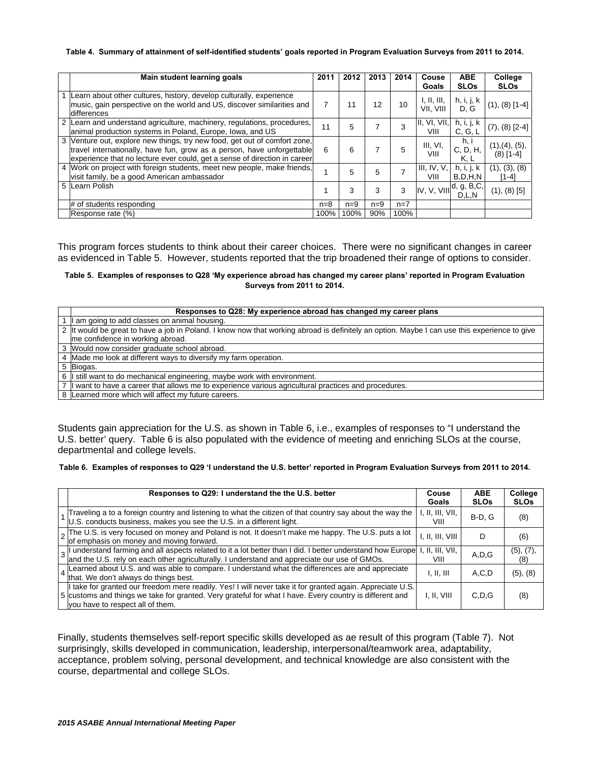#### **Table 4. Summary of attainment of self-identified students' goals reported in Program Evaluation Surveys from 2011 to 2014.**

| Main student learning goals                                                                                                                                                                                                      | 2011  | 2012  | 2013  | 2014           | Couse<br>Goals           | <b>ABE</b><br><b>SLOs</b>                      | College<br><b>SLOs</b>        |
|----------------------------------------------------------------------------------------------------------------------------------------------------------------------------------------------------------------------------------|-------|-------|-------|----------------|--------------------------|------------------------------------------------|-------------------------------|
| 1 Learn about other cultures, history, develop culturally, experience<br>music, gain perspective on the world and US, discover similarities and<br>differences                                                                   | 7     | 11    | 12    | 10             | I, II, III,<br>VII. VIII | h, i, j, k<br>D.G                              | $(1), (8)$ [1-4]              |
| 2 Learn and understand agriculture, machinery, regulations, procedures,<br>animal production systems in Poland, Europe, Iowa, and US                                                                                             | 11    | 5     |       | 3              | II, VI, VII, I<br>VIII   | h, i, j, k<br>C, G, L                          | $(7), (8)$ [2-4]              |
| 3 Venture out, explore new things, try new food, get out of comfort zone,<br>travel internationally, have fun, grow as a person, have unforgettable<br>experience that no lecture ever could, get a sense of direction in career | 6     | 6     | 7     | 5              | III, VI,<br>VIII         | h, i<br>C, D, H,<br>K, L                       | (1), (4), (5),<br>$(8)$ [1-4] |
| 4 Work on project with foreign students, meet new people, make friends,<br>visit family, be a good American ambassador                                                                                                           |       | 5     | 5     | $\overline{ }$ | III, IV, V,<br>VIII      | h, i, j, k<br>B,D,H,N                          | (1), (3), (8)<br>$[1 - 4]$    |
| 5 Learn Polish                                                                                                                                                                                                                   | 1     | 3     | 3     | 3              |                          | $IV, V, VIII$ <sup>d, g, B,C,</sup> I<br>D.L.N | $(1), (8)$ [5]                |
| # of students responding                                                                                                                                                                                                         | $n=8$ | $n=9$ | $n=9$ | $n=7$          |                          |                                                |                               |
| Response rate (%)                                                                                                                                                                                                                | 100%  | 100%  | 90%   | 100%           |                          |                                                |                               |

This program forces students to think about their career choices. There were no significant changes in career as evidenced in Table 5. However, students reported that the trip broadened their range of options to consider.

#### **Table 5. Examples of responses to Q28 'My experience abroad has changed my career plans' reported in Program Evaluation Surveys from 2011 to 2014.**

| Responses to Q28: My experience abroad has changed my career plans                                                                           |
|----------------------------------------------------------------------------------------------------------------------------------------------|
| 1 I am going to add classes on animal housing.                                                                                               |
| 2 It would be great to have a job in Poland. I know now that working abroad is definitely an option. Maybe I can use this experience to give |
| me confidence in working abroad.                                                                                                             |
| 3 Would now consider graduate school abroad.                                                                                                 |
| 4 Made me look at different ways to diversify my farm operation.                                                                             |
| 5 Biogas.                                                                                                                                    |
| 6    still want to do mechanical engineering, maybe work with environment.                                                                   |
| 7    want to have a career that allows me to experience various agricultural practices and procedures.                                       |
| 8 Learned more which will affect my future careers.                                                                                          |

Students gain appreciation for the U.S. as shown in Table 6, i.e., examples of responses to "I understand the U.S. better' query. Table 6 is also populated with the evidence of meeting and enriching SLOs at the course, departmental and college levels.

#### **Table 6. Examples of responses to Q29 'I understand the U.S. better' reported in Program Evaluation Surveys from 2011 to 2014.**

| Responses to Q29: I understand the the U.S. better                                                                                                                                                                                                       | Couse<br>Goals           | <b>ABE</b><br><b>SLOs</b> | College<br><b>SLOs</b> |
|----------------------------------------------------------------------------------------------------------------------------------------------------------------------------------------------------------------------------------------------------------|--------------------------|---------------------------|------------------------|
| Traveling a to a foreign country and listening to what the citizen of that country say about the way the U.S. conducts business, makes you see the U.S. in a different light.                                                                            | I, II, III, VII,<br>VIII | $B-D.G$                   | (8)                    |
| $\sim$ The U.S. is very focused on money and Poland is not. It doesn't make me happy. The U.S. puts a lot<br>of emphasis on money and moving forward.                                                                                                    | I, II, III, VIII         | Ð                         | (6)                    |
| 3 I understand farming and all aspects related to it a lot better than I did. I better understand how Europe I, II, III, VII, and the U.S. rely on each other agriculturally. I understand and appreciate our use of GMOs.                               |                          | A, D, G                   | (5), (7),<br>(8)       |
| $\vert$ 4 Learned about U.S. and was able to compare. I understand what the differences are and appreciate<br>that. We don't always do things best.                                                                                                      | I, II, III               | A.C.D                     | (5), (8)               |
| I take for granted our freedom mere readily. Yes! I will never take it for granted again. Appreciate U.S.<br>5 customs and things we take for granted. Very grateful for what I have. Every country is different and<br>you have to respect all of them. | I, II, VIII              | C.D.G                     | (8)                    |

Finally, students themselves self-report specific skills developed as ae result of this program (Table 7). Not surprisingly, skills developed in communication, leadership, interpersonal/teamwork area, adaptability, acceptance, problem solving, personal development, and technical knowledge are also consistent with the course, departmental and college SLOs.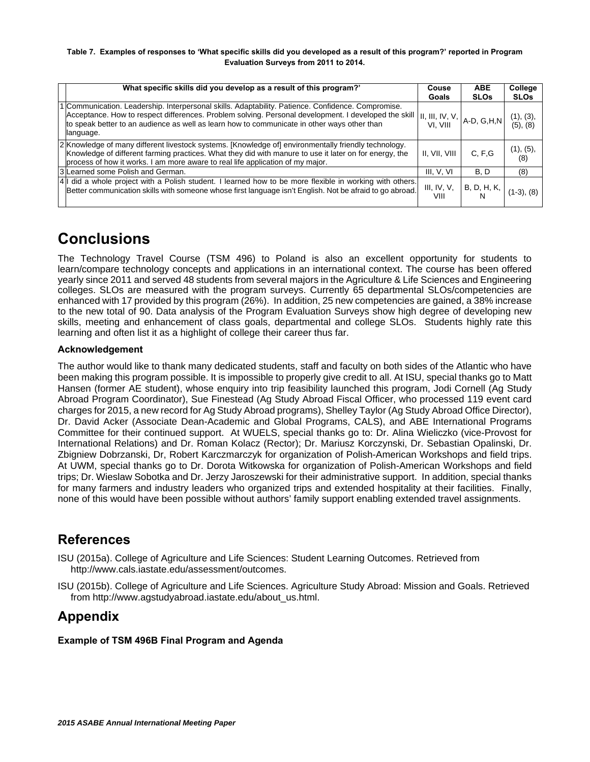#### **Table 7. Examples of responses to 'What specific skills did you developed as a result of this program?' reported in Program Evaluation Surveys from 2011 to 2014.**

| What specific skills did you develop as a result of this program?'                                                                                                                                                                                                                                                                                                                                   | Couse<br>Goals         | <b>ABE</b><br><b>SLOs</b> | College<br><b>SLOs</b> |
|------------------------------------------------------------------------------------------------------------------------------------------------------------------------------------------------------------------------------------------------------------------------------------------------------------------------------------------------------------------------------------------------------|------------------------|---------------------------|------------------------|
| I Communication. Leadership. Interpersonal skills. Adaptability. Patience. Confidence. Compromise.<br>Communication. Leadership. interpersental entire comparison.<br>Acceptance. How to respect differences. Problem solving. Personal development. I developed the skill $\begin{bmatrix} 0 & 0 \\ 0 & 1 \end{bmatrix}$ , $\begin{bmatrix} 1 & 0 \\ 0 & 1 \end{bmatrix}$ , $\begin{b$<br>language. |                        |                           | (1), (3),<br>(5), (8)  |
| 2 Knowledge of many different livestock systems. [Knowledge of] environmentally friendly technology.<br>Knowledge of different farming practices. What they did with manure to use it later on for energy, the<br>process of how it works. I am more aware to real life application of my major.                                                                                                     | II, VII, VIII          | C, F, G                   | (1), (5),<br>(8)       |
| 3 Learned some Polish and German.                                                                                                                                                                                                                                                                                                                                                                    | III, V, VI             | <b>B.D</b>                | (8)                    |
| 4 Il did a whole project with a Polish student. I learned how to be more flexible in working with others.<br>Better communication skills with someone whose first language isn't English. Not be afraid to go abroad.                                                                                                                                                                                | III, IV, $V$ ,<br>VIII | B, D, H, K,               | $(1-3), (8)$           |

# **Conclusions**

The Technology Travel Course (TSM 496) to Poland is also an excellent opportunity for students to learn/compare technology concepts and applications in an international context. The course has been offered yearly since 2011 and served 48 students from several majors in the Agriculture & Life Sciences and Engineering colleges. SLOs are measured with the program surveys. Currently 65 departmental SLOs/competencies are enhanced with 17 provided by this program (26%). In addition, 25 new competencies are gained, a 38% increase to the new total of 90. Data analysis of the Program Evaluation Surveys show high degree of developing new skills, meeting and enhancement of class goals, departmental and college SLOs. Students highly rate this learning and often list it as a highlight of college their career thus far.

### **Acknowledgement**

The author would like to thank many dedicated students, staff and faculty on both sides of the Atlantic who have been making this program possible. It is impossible to properly give credit to all. At ISU, special thanks go to Matt Hansen (former AE student), whose enquiry into trip feasibility launched this program, Jodi Cornell (Ag Study Abroad Program Coordinator), Sue Finestead (Ag Study Abroad Fiscal Officer, who processed 119 event card charges for 2015, a new record for Ag Study Abroad programs), Shelley Taylor (Ag Study Abroad Office Director), Dr. David Acker (Associate Dean-Academic and Global Programs, CALS), and ABE International Programs Committee for their continued support. At WUELS, special thanks go to: Dr. Alina Wieliczko (vice-Provost for International Relations) and Dr. Roman Kolacz (Rector); Dr. Mariusz Korczynski, Dr. Sebastian Opalinski, Dr. Zbigniew Dobrzanski, Dr, Robert Karczmarczyk for organization of Polish-American Workshops and field trips. At UWM, special thanks go to Dr. Dorota Witkowska for organization of Polish-American Workshops and field trips; Dr. Wieslaw Sobotka and Dr. Jerzy Jaroszewski for their administrative support. In addition, special thanks for many farmers and industry leaders who organized trips and extended hospitality at their facilities. Finally, none of this would have been possible without authors' family support enabling extended travel assignments.

# **References**

ISU (2015a). College of Agriculture and Life Sciences: Student Learning Outcomes. Retrieved from http://www.cals.iastate.edu/assessment/outcomes.

ISU (2015b). College of Agriculture and Life Sciences. Agriculture Study Abroad: Mission and Goals. Retrieved from http://www.agstudyabroad.iastate.edu/about\_us.html.

# **Appendix**

### **Example of TSM 496B Final Program and Agenda**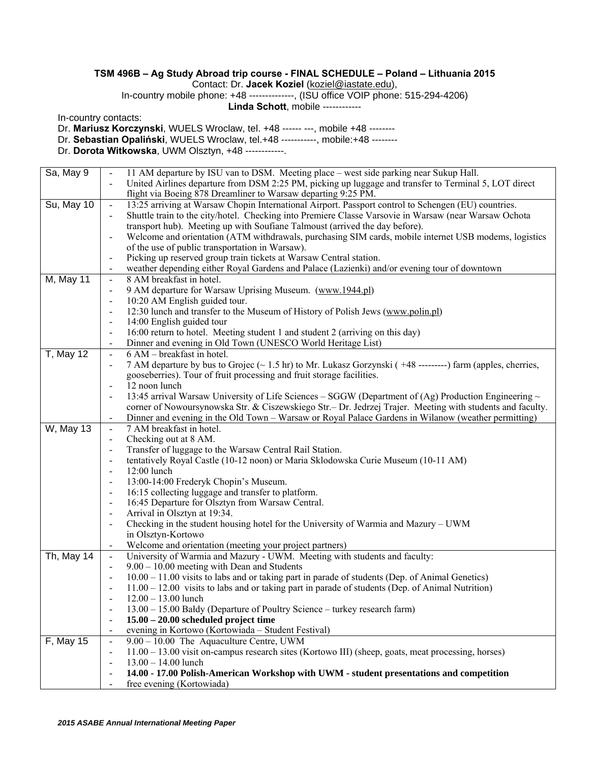#### **TSM 496B – Ag Study Abroad trip course - FINAL SCHEDULE – Poland – Lithuania 2015**

Contact: Dr. **Jacek Koziel** (koziel@iastate.edu),

In-country mobile phone: +48 --------------, (ISU office VOIP phone: 515-294-4206)

### **Linda Schott**, mobile ------------

In-country contacts:

Dr. **Mariusz Korczynski**, WUELS Wroclaw, tel. +48 ------ ---, mobile +48 --------

Dr. **Sebastian Opaliński**, WUELS Wroclaw, tel.+48 -----------, mobile:+48 --------

Dr. **Dorota Witkowska**, UWM Olsztyn, +48 ------------.

| Sa, May 9        |                              | 11 AM departure by ISU van to DSM. Meeting place - west side parking near Sukup Hall.                      |
|------------------|------------------------------|------------------------------------------------------------------------------------------------------------|
|                  |                              | United Airlines departure from DSM 2:25 PM, picking up luggage and transfer to Terminal 5, LOT direct      |
|                  |                              | flight via Boeing 878 Dreamliner to Warsaw departing 9:25 PM.                                              |
| Su, May 10       | $\blacksquare$               | 13:25 arriving at Warsaw Chopin International Airport. Passport control to Schengen (EU) countries.        |
|                  | $\overline{\phantom{a}}$     | Shuttle train to the city/hotel. Checking into Premiere Classe Varsovie in Warsaw (near Warsaw Ochota      |
|                  |                              | transport hub). Meeting up with Soufiane Talmoust (arrived the day before).                                |
|                  | $\overline{\phantom{a}}$     | Welcome and orientation (ATM withdrawals, purchasing SIM cards, mobile internet USB modems, logistics      |
|                  |                              | of the use of public transportation in Warsaw).                                                            |
|                  | $\blacksquare$               | Picking up reserved group train tickets at Warsaw Central station.                                         |
|                  | $\blacksquare$               | weather depending either Royal Gardens and Palace (Lazienki) and/or evening tour of downtown               |
| <b>M, May 11</b> | $\blacksquare$               | 8 AM breakfast in hotel.                                                                                   |
|                  | $\blacksquare$               | 9 AM departure for Warsaw Uprising Museum. (www.1944.pl)                                                   |
|                  | $\overline{\phantom{a}}$     | 10:20 AM English guided tour.                                                                              |
|                  | $\overline{\phantom{a}}$     | 12:30 lunch and transfer to the Museum of History of Polish Jews (www.polin.pl)                            |
|                  | $\blacksquare$               | 14:00 English guided tour                                                                                  |
|                  | $\blacksquare$               | 16:00 return to hotel. Meeting student 1 and student 2 (arriving on this day)                              |
|                  | $\blacksquare$               | Dinner and evening in Old Town (UNESCO World Heritage List)                                                |
| <b>T, May 12</b> | $\overline{\phantom{a}}$     | 6 AM – breakfast in hotel.                                                                                 |
|                  | $\overline{\phantom{a}}$     | 7 AM departure by bus to Grojec (~1.5 hr) to Mr. Lukasz Gorzynski (+48 ---------) farm (apples, cherries,  |
|                  |                              | gooseberries). Tour of fruit processing and fruit storage facilities.                                      |
|                  | $\overline{\phantom{a}}$     | 12 noon lunch                                                                                              |
|                  | $\overline{\phantom{a}}$     | 13:45 arrival Warsaw University of Life Sciences – SGGW (Department of (Ag) Production Engineering $\sim$  |
|                  |                              | corner of Nowoursynowska Str. & Ciszewskiego Str. - Dr. Jedrzej Trajer. Meeting with students and faculty. |
|                  | $\qquad \qquad \blacksquare$ | Dinner and evening in the Old Town - Warsaw or Royal Palace Gardens in Wilanow (weather permitting)        |
| W, May 13        | $\blacksquare$               | 7 AM breakfast in hotel.                                                                                   |
|                  | $\overline{\phantom{a}}$     | Checking out at 8 AM.                                                                                      |
|                  | $\overline{\phantom{a}}$     | Transfer of luggage to the Warsaw Central Rail Station.                                                    |
|                  | $\blacksquare$               | tentatively Royal Castle (10-12 noon) or Maria Sklodowska Curie Museum (10-11 AM)                          |
|                  | $\overline{\phantom{a}}$     | 12:00 lunch                                                                                                |
|                  | $\blacksquare$               | 13:00-14:00 Frederyk Chopin's Museum.                                                                      |
|                  | $\blacksquare$               | 16:15 collecting luggage and transfer to platform.                                                         |
|                  | $\overline{\phantom{a}}$     | 16:45 Departure for Olsztyn from Warsaw Central.                                                           |
|                  | $\overline{\phantom{a}}$     | Arrival in Olsztyn at 19:34.                                                                               |
|                  | $\overline{\phantom{a}}$     | Checking in the student housing hotel for the University of Warmia and Mazury – UWM                        |
|                  |                              | in Olsztyn-Kortowo                                                                                         |
|                  | $\blacksquare$               | Welcome and orientation (meeting your project partners)                                                    |
| Th, May 14       | $\blacksquare$               | University of Warmia and Mazury - UWM. Meeting with students and faculty:                                  |
|                  | $\blacksquare$               | $9.00 - 10.00$ meeting with Dean and Students                                                              |
|                  |                              | $10.00 - 11.00$ visits to labs and or taking part in parade of students (Dep. of Animal Genetics)          |
|                  | $\overline{a}$               | $11.00 - 12.00$ visits to labs and or taking part in parade of students (Dep. of Animal Nutrition)         |
|                  |                              | $12.00 - 13.00$ lunch                                                                                      |
|                  |                              | 13.00 - 15.00 Bałdy (Departure of Poultry Science – turkey research farm)                                  |
|                  |                              | $15.00 - 20.00$ scheduled project time                                                                     |
|                  | $\blacksquare$               | evening in Kortowo (Kortowiada - Student Festival)                                                         |
| F, May 15        | $\overline{\phantom{a}}$     | $9.00 - 10.00$ The Aquaculture Centre, UWM                                                                 |
|                  | $\overline{\phantom{a}}$     | 11.00 – 13.00 visit on-campus research sites (Kortowo III) (sheep, goats, meat processing, horses)         |
|                  | $\overline{\phantom{a}}$     | $13.00 - 14.00$ lunch                                                                                      |
|                  | $\overline{\phantom{a}}$     | 14.00 - 17.00 Polish-American Workshop with UWM - student presentations and competition                    |
|                  | $\blacksquare$               | free evening (Kortowiada)                                                                                  |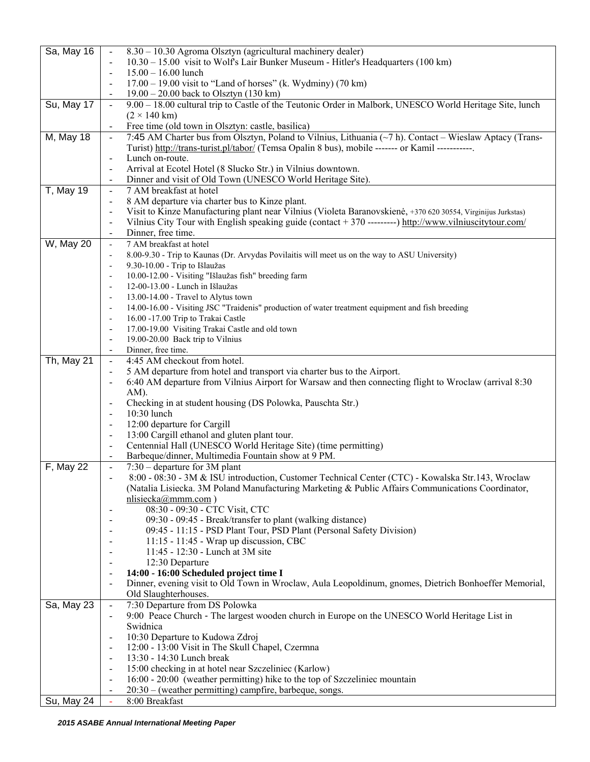| Sa, May 16       | $\blacksquare$               | 8.30 - 10.30 Agroma Olsztyn (agricultural machinery dealer)                                                  |
|------------------|------------------------------|--------------------------------------------------------------------------------------------------------------|
|                  |                              | 10.30 – 15.00 visit to Wolf's Lair Bunker Museum - Hitler's Headquarters (100 km)                            |
|                  |                              | $15.00 - 16.00$ lunch                                                                                        |
|                  |                              | $17.00 - 19.00$ visit to "Land of horses" (k. Wydminy) (70 km)                                               |
|                  | $\blacksquare$               | $19.00 - 20.00$ back to Olsztyn (130 km)                                                                     |
| Su, May 17       | $\blacksquare$               | 9.00 – 18.00 cultural trip to Castle of the Teutonic Order in Malbork, UNESCO World Heritage Site, lunch     |
|                  |                              | $(2 \times 140 \text{ km})$                                                                                  |
|                  | $\blacksquare$               | Free time (old town in Olsztyn: castle, basilica)                                                            |
| M, May 18        | $\blacksquare$               | 7:45 AM Charter bus from Olsztyn, Poland to Vilnius, Lithuania (~7 h). Contact – Wieslaw Aptacy (Trans-      |
|                  |                              | Turist) http://trans-turist.pl/tabor/ (Temsa Opalin 8 bus), mobile ------- or Kamil -----------.             |
|                  | $\overline{a}$               | Lunch on-route.                                                                                              |
|                  | $\overline{\phantom{a}}$     | Arrival at Ecotel Hotel (8 Slucko Str.) in Vilnius downtown.                                                 |
|                  | $\overline{\phantom{a}}$     | Dinner and visit of Old Town (UNESCO World Heritage Site).                                                   |
| <b>T, May 19</b> | $\blacksquare$               | 7 AM breakfast at hotel                                                                                      |
|                  | $\blacksquare$               | 8 AM departure via charter bus to Kinze plant.                                                               |
|                  | $\qquad \qquad \blacksquare$ | Visit to Kinze Manufacturing plant near Vilnius (Violeta Baranovskienė, +370 620 30554, Virginijus Jurkstas) |
|                  | $\overline{\phantom{a}}$     | Vilnius City Tour with English speaking guide (contact + 370 --------) http://www.vilniuscitytour.com/       |
|                  | $\blacksquare$               | Dinner, free time.                                                                                           |
| W, May 20        | $\overline{\phantom{a}}$     | 7 AM breakfast at hotel                                                                                      |
|                  | $\overline{\phantom{a}}$     | 8.00-9.30 - Trip to Kaunas (Dr. Arvydas Povilaitis will meet us on the way to ASU University)                |
|                  |                              | 9.30-10.00 - Trip to Išlaužas                                                                                |
|                  | $\qquad \qquad \blacksquare$ | 10.00-12.00 - Visiting "Išlaužas fish" breeding farm                                                         |
|                  | $\overline{\phantom{a}}$     | 12-00-13.00 - Lunch in Išlaužas                                                                              |
|                  | $\overline{\phantom{a}}$     | 13.00-14.00 - Travel to Alytus town                                                                          |
|                  | $\overline{\phantom{a}}$     |                                                                                                              |
|                  | $\overline{\phantom{a}}$     | 14.00-16.00 - Visiting JSC "Traidenis" production of water treatment equipment and fish breeding             |
|                  | $\overline{\phantom{a}}$     | 16.00 -17.00 Trip to Trakai Castle                                                                           |
|                  | $\overline{a}$               | 17.00-19.00 Visiting Trakai Castle and old town                                                              |
|                  | $\blacksquare$               | 19.00-20.00 Back trip to Vilnius                                                                             |
|                  | $\blacksquare$               | Dinner, free time.                                                                                           |
| Th, May 21       | $\overline{\phantom{a}}$     | 4:45 AM checkout from hotel.                                                                                 |
|                  | $\overline{\phantom{a}}$     | 5 AM departure from hotel and transport via charter bus to the Airport.                                      |
|                  | $\overline{\phantom{a}}$     | 6:40 AM departure from Vilnius Airport for Warsaw and then connecting flight to Wroclaw (arrival 8:30        |
|                  |                              | $AM$ ).                                                                                                      |
|                  | $\overline{\phantom{0}}$     | Checking in at student housing (DS Polowka, Pauschta Str.)                                                   |
|                  | $\blacksquare$               | $10:30$ lunch                                                                                                |
|                  | $\blacksquare$               | 12:00 departure for Cargill                                                                                  |
|                  | $\overline{\phantom{a}}$     | 13:00 Cargill ethanol and gluten plant tour.                                                                 |
|                  | $\overline{\phantom{a}}$     | Centennial Hall (UNESCO World Heritage Site) (time permitting)                                               |
|                  | $\blacksquare$               | Barbeque/dinner, Multimedia Fountain show at 9 PM.                                                           |
| F, May 22        | $\frac{1}{2}$                | $7:30$ – departure for 3M plant                                                                              |
|                  |                              | 8:00 - 08:30 - 3M & ISU introduction, Customer Technical Center (CTC) - Kowalska Str.143, Wroclaw            |
|                  |                              | (Natalia Lisiecka. 3M Poland Manufacturing Marketing & Public Affairs Communications Coordinator,            |
|                  |                              | nlisiecka@mmm.com)                                                                                           |
|                  | $\blacksquare$               | 08:30 - 09:30 - CTC Visit, CTC                                                                               |
|                  | $\qquad \qquad \blacksquare$ | 09:30 - 09:45 - Break/transfer to plant (walking distance)                                                   |
|                  |                              | 09:45 - 11:15 - PSD Plant Tour, PSD Plant (Personal Safety Division)                                         |
|                  |                              | $11:15 - 11:45$ - Wrap up discussion, CBC                                                                    |
|                  |                              | 11:45 - 12:30 - Lunch at 3M site                                                                             |
|                  |                              | 12:30 Departure                                                                                              |
|                  | $\overline{a}$               | 14:00 - 16:00 Scheduled project time I                                                                       |
|                  | $\qquad \qquad \blacksquare$ | Dinner, evening visit to Old Town in Wroclaw, Aula Leopoldinum, gnomes, Dietrich Bonhoeffer Memorial,        |
|                  |                              | Old Slaughterhouses.                                                                                         |
| Sa, May 23       | $\blacksquare$               | 7:30 Departure from DS Polowka                                                                               |
|                  | $\blacksquare$               | 9:00 Peace Church - The largest wooden church in Europe on the UNESCO World Heritage List in                 |
|                  |                              | Swidnica                                                                                                     |
|                  | $\overline{a}$               | 10:30 Departure to Kudowa Zdroj                                                                              |
|                  | $\overline{a}$               | 12:00 - 13:00 Visit in The Skull Chapel, Czermna                                                             |
|                  | $\overline{a}$               | 13:30 - 14:30 Lunch break                                                                                    |
|                  | $\overline{a}$               | 15:00 checking in at hotel near Szczeliniec (Karlow)                                                         |
|                  | $\overline{\phantom{a}}$     | 16:00 - 20:00 (weather permitting) hike to the top of Szczeliniec mountain                                   |
|                  |                              | $20:30$ – (weather permitting) campfire, barbeque, songs.                                                    |
| Su, May 24       | $\omega$                     | 8:00 Breakfast                                                                                               |